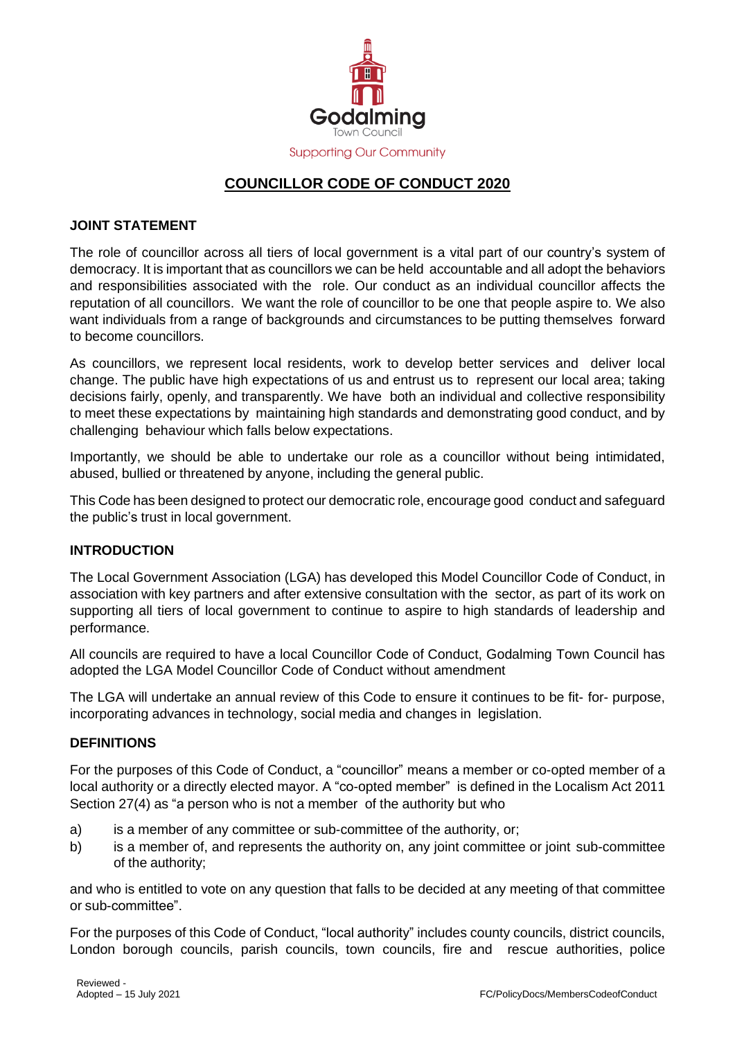

# **COUNCILLOR CODE OF CONDUCT 2020**

### **JOINT STATEMENT**

The role of councillor across all tiers of local government is a vital part of our country's system of democracy. It is important that as councillors we can be held accountable and all adopt the behaviors and responsibilities associated with the role. Our conduct as an individual councillor affects the reputation of all councillors. We want the role of councillor to be one that people aspire to. We also want individuals from a range of backgrounds and circumstances to be putting themselves forward to become councillors.

As councillors, we represent local residents, work to develop better services and deliver local change. The public have high expectations of us and entrust us to represent our local area; taking decisions fairly, openly, and transparently. We have both an individual and collective responsibility to meet these expectations by maintaining high standards and demonstrating good conduct, and by challenging behaviour which falls below expectations.

Importantly, we should be able to undertake our role as a councillor without being intimidated, abused, bullied or threatened by anyone, including the general public.

This Code has been designed to protect our democratic role, encourage good conduct and safeguard the public's trust in local government.

# **INTRODUCTION**

The Local Government Association (LGA) has developed this Model Councillor Code of Conduct, in association with key partners and after extensive consultation with the sector, as part of its work on supporting all tiers of local government to continue to aspire to high standards of leadership and performance.

All councils are required to have a local Councillor Code of Conduct, Godalming Town Council has adopted the LGA Model Councillor Code of Conduct without amendment

The LGA will undertake an annual review of this Code to ensure it continues to be fit- for- purpose, incorporating advances in technology, social media and changes in legislation.

#### **DEFINITIONS**

For the purposes of this Code of Conduct, a "councillor" means a member or co-opted member of a local authority or a directly elected mayor. A "co-opted member" is defined in the Localism Act 2011 Section 27(4) as "a person who is not a member of the authority but who

- a) is a member of any committee or sub-committee of the authority, or;
- b) is a member of, and represents the authority on, any joint committee or joint sub-committee of the authority;

and who is entitled to vote on any question that falls to be decided at any meeting of that committee or sub-committee".

For the purposes of this Code of Conduct, "local authority" includes county councils, district councils, London borough councils, parish councils, town councils, fire and rescue authorities, police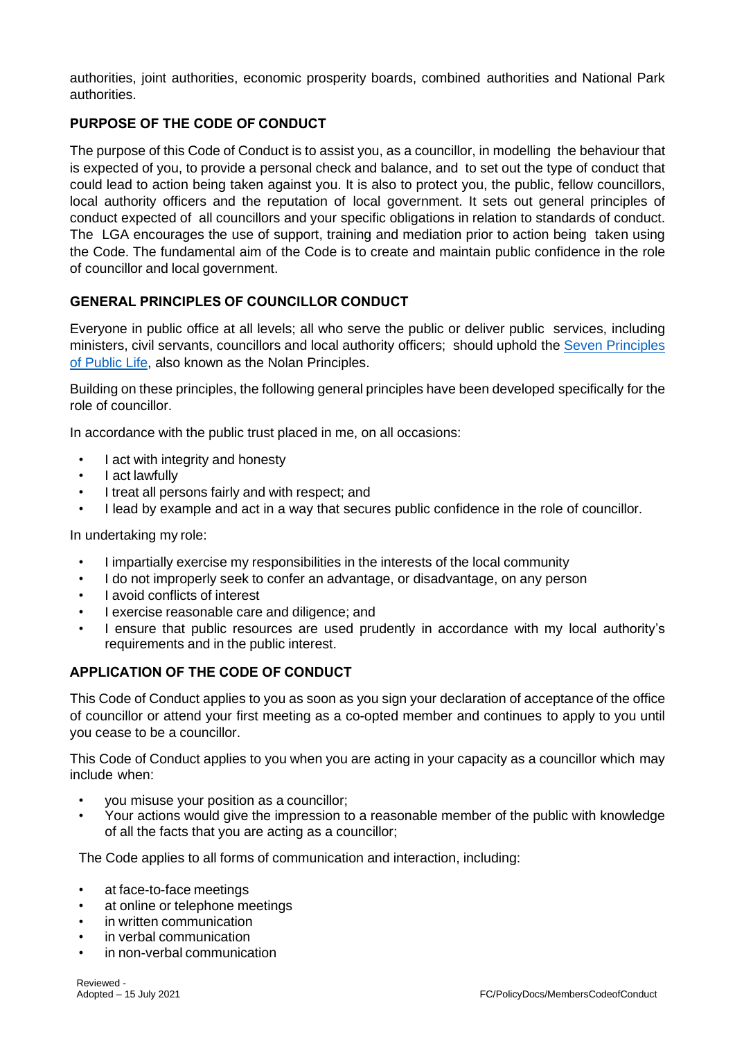authorities, joint authorities, economic prosperity boards, combined authorities and National Park authorities.

# **PURPOSE OF THE CODE OF CONDUCT**

The purpose of this Code of Conduct is to assist you, as a councillor, in modelling the behaviour that is expected of you, to provide a personal check and balance, and to set out the type of conduct that could lead to action being taken against you. It is also to protect you, the public, fellow councillors, local authority officers and the reputation of local government. It sets out general principles of conduct expected of all councillors and your specific obligations in relation to standards of conduct. The LGA encourages the use of support, training and mediation prior to action being taken using the Code. The fundamental aim of the Code is to create and maintain public confidence in the role of councillor and local government.

# **GENERAL PRINCIPLES OF COUNCILLOR CONDUCT**

Everyone in public office at all levels; all who serve the public or deliver public services, including ministers, civil servants, councillors and local authority officers; should uphold the [Seven](https://www.gov.uk/government/publications/the-7-principles-of-public-life/the-7-principles-of-public-life--2) [Principles](https://www.gov.uk/government/publications/the-7-principles-of-public-life/the-7-principles-of-public-life--2) [of](https://www.gov.uk/government/publications/the-7-principles-of-public-life/the-7-principles-of-public-life--2) [Public](https://www.gov.uk/government/publications/the-7-principles-of-public-life/the-7-principles-of-public-life--2) [Life,](https://www.gov.uk/government/publications/the-7-principles-of-public-life/the-7-principles-of-public-life--2) also known as the Nolan Principles.

Building on these principles, the following general principles have been developed specifically for the role of councillor.

In accordance with the public trust placed in me, on all occasions:

- I act with integrity and honesty
- I act lawfully
- I treat all persons fairly and with respect; and
- I lead by example and act in a way that secures public confidence in the role of councillor.

In undertaking my role:

- I impartially exercise my responsibilities in the interests of the local community
- I do not improperly seek to confer an advantage, or disadvantage, on any person
- I avoid conflicts of interest
- I exercise reasonable care and diligence; and
- I ensure that public resources are used prudently in accordance with my local authority's requirements and in the public interest.

# **APPLICATION OF THE CODE OF CONDUCT**

This Code of Conduct applies to you as soon as you sign your declaration of acceptance of the office of councillor or attend your first meeting as a co-opted member and continues to apply to you until you cease to be a councillor.

This Code of Conduct applies to you when you are acting in your capacity as a councillor which may include when:

- you misuse your position as a councillor;
- Your actions would give the impression to a reasonable member of the public with knowledge of all the facts that you are acting as a councillor;

The Code applies to all forms of communication and interaction, including:

- at face-to-face meetings
- at online or telephone meetings
- in written communication
- in verbal communication
- in non-verbal communication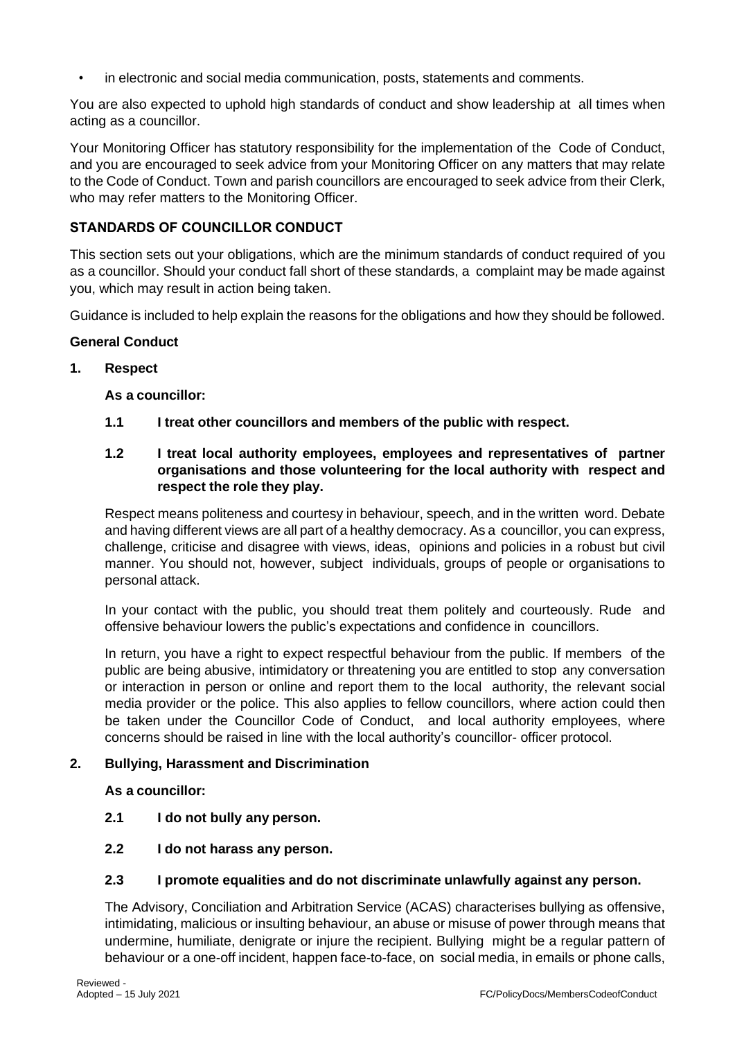• in electronic and social media communication, posts, statements and comments.

You are also expected to uphold high standards of conduct and show leadership at all times when acting as a councillor.

Your Monitoring Officer has statutory responsibility for the implementation of the Code of Conduct, and you are encouraged to seek advice from your Monitoring Officer on any matters that may relate to the Code of Conduct. Town and parish councillors are encouraged to seek advice from their Clerk, who may refer matters to the Monitoring Officer.

# **STANDARDS OF COUNCILLOR CONDUCT**

This section sets out your obligations, which are the minimum standards of conduct required of you as a councillor. Should your conduct fall short of these standards, a complaint may be made against you, which may result in action being taken.

Guidance is included to help explain the reasons for the obligations and how they should be followed.

# **General Conduct**

### **1. Respect**

**As a councillor:**

**1.1 I treat other councillors and members of the public with respect.**

# **1.2 I treat local authority employees, employees and representatives of partner organisations and those volunteering for the local authority with respect and respect the role they play.**

Respect means politeness and courtesy in behaviour, speech, and in the written word. Debate and having different views are all part of a healthy democracy. As a councillor, you can express, challenge, criticise and disagree with views, ideas, opinions and policies in a robust but civil manner. You should not, however, subject individuals, groups of people or organisations to personal attack.

In your contact with the public, you should treat them politely and courteously. Rude and offensive behaviour lowers the public's expectations and confidence in councillors.

In return, you have a right to expect respectful behaviour from the public. If members of the public are being abusive, intimidatory or threatening you are entitled to stop any conversation or interaction in person or online and report them to the local authority, the relevant social media provider or the police. This also applies to fellow councillors, where action could then be taken under the Councillor Code of Conduct, and local authority employees, where concerns should be raised in line with the local authority's councillor- officer protocol.

# **2. Bullying, Harassment and Discrimination**

**As a councillor:**

- **2.1 I do not bully any person.**
- **2.2 I do not harass any person.**

#### **2.3 I promote equalities and do not discriminate unlawfully against any person.**

The Advisory, Conciliation and Arbitration Service (ACAS) characterises bullying as offensive, intimidating, malicious or insulting behaviour, an abuse or misuse of power through means that undermine, humiliate, denigrate or injure the recipient. Bullying might be a regular pattern of behaviour or a one-off incident, happen face-to-face, on social media, in emails or phone calls,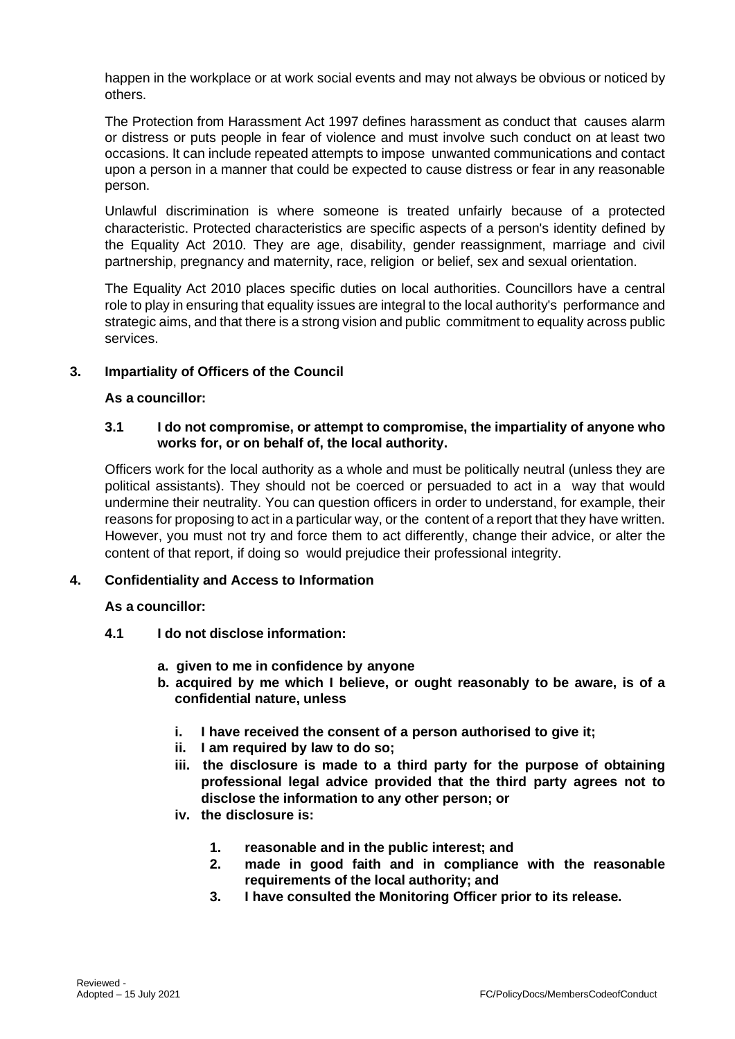happen in the workplace or at work social events and may not always be obvious or noticed by others.

The Protection from Harassment Act 1997 defines harassment as conduct that causes alarm or distress or puts people in fear of violence and must involve such conduct on at least two occasions. It can include repeated attempts to impose unwanted communications and contact upon a person in a manner that could be expected to cause distress or fear in any reasonable person.

Unlawful discrimination is where someone is treated unfairly because of a protected characteristic. Protected characteristics are specific aspects of a person's identity defined by the Equality Act 2010. They are age, disability, gender reassignment, marriage and civil partnership, pregnancy and maternity, race, religion or belief, sex and sexual orientation.

The Equality Act 2010 places specific duties on local authorities. Councillors have a central role to play in ensuring that equality issues are integral to the local authority's performance and strategic aims, and that there is a strong vision and public commitment to equality across public services.

# **3. Impartiality of Officers of the Council**

# **As a councillor:**

# **3.1 I do not compromise, or attempt to compromise, the impartiality of anyone who works for, or on behalf of, the local authority.**

Officers work for the local authority as a whole and must be politically neutral (unless they are political assistants). They should not be coerced or persuaded to act in a way that would undermine their neutrality. You can question officers in order to understand, for example, their reasons for proposing to act in a particular way, or the content of a report that they have written. However, you must not try and force them to act differently, change their advice, or alter the content of that report, if doing so would prejudice their professional integrity.

# **4. Confidentiality and Access to Information**

# **As a councillor:**

- **4.1 I do not disclose information:**
	- **a. given to me in confidence by anyone**
	- **b. acquired by me which I believe, or ought reasonably to be aware, is of a confidential nature, unless**
		- **i. I have received the consent of a person authorised to give it;**
		- **ii. I am required by law to do so;**
		- **iii. the disclosure is made to a third party for the purpose of obtaining professional legal advice provided that the third party agrees not to disclose the information to any other person; or**
		- **iv. the disclosure is:**
			- **1. reasonable and in the public interest; and**
			- **2. made in good faith and in compliance with the reasonable requirements of the local authority; and**
			- **3. I have consulted the Monitoring Officer prior to its release.**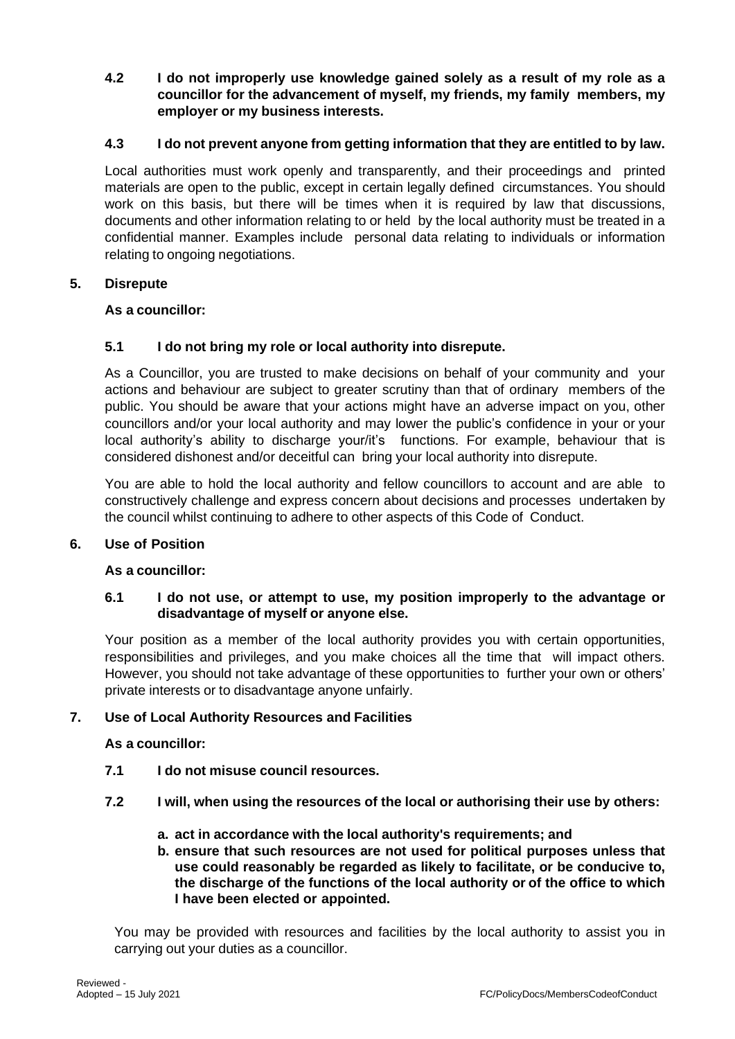**4.2 I do not improperly use knowledge gained solely as a result of my role as a councillor for the advancement of myself, my friends, my family members, my employer or my business interests.**

# **4.3 I do not prevent anyone from getting information that they are entitled to by law.**

Local authorities must work openly and transparently, and their proceedings and printed materials are open to the public, except in certain legally defined circumstances. You should work on this basis, but there will be times when it is required by law that discussions, documents and other information relating to or held by the local authority must be treated in a confidential manner. Examples include personal data relating to individuals or information relating to ongoing negotiations.

# **5. Disrepute**

### **As a councillor:**

# **5.1 I do not bring my role or local authority into disrepute.**

As a Councillor, you are trusted to make decisions on behalf of your community and your actions and behaviour are subject to greater scrutiny than that of ordinary members of the public. You should be aware that your actions might have an adverse impact on you, other councillors and/or your local authority and may lower the public's confidence in your or your local authority's ability to discharge your/it's functions. For example, behaviour that is considered dishonest and/or deceitful can bring your local authority into disrepute.

You are able to hold the local authority and fellow councillors to account and are able to constructively challenge and express concern about decisions and processes undertaken by the council whilst continuing to adhere to other aspects of this Code of Conduct.

# **6. Use of Position**

# **As a councillor:**

# **6.1 I do not use, or attempt to use, my position improperly to the advantage or disadvantage of myself or anyone else.**

Your position as a member of the local authority provides you with certain opportunities, responsibilities and privileges, and you make choices all the time that will impact others. However, you should not take advantage of these opportunities to further your own or others' private interests or to disadvantage anyone unfairly.

# **7. Use of Local Authority Resources and Facilities**

# **As a councillor:**

- **7.1 I do not misuse council resources.**
- **7.2 I will, when using the resources of the local or authorising their use by others:**
	- **a. act in accordance with the local authority's requirements; and**
	- **b. ensure that such resources are not used for political purposes unless that use could reasonably be regarded as likely to facilitate, or be conducive to, the discharge of the functions of the local authority or of the office to which I have been elected or appointed.**

You may be provided with resources and facilities by the local authority to assist you in carrying out your duties as a councillor.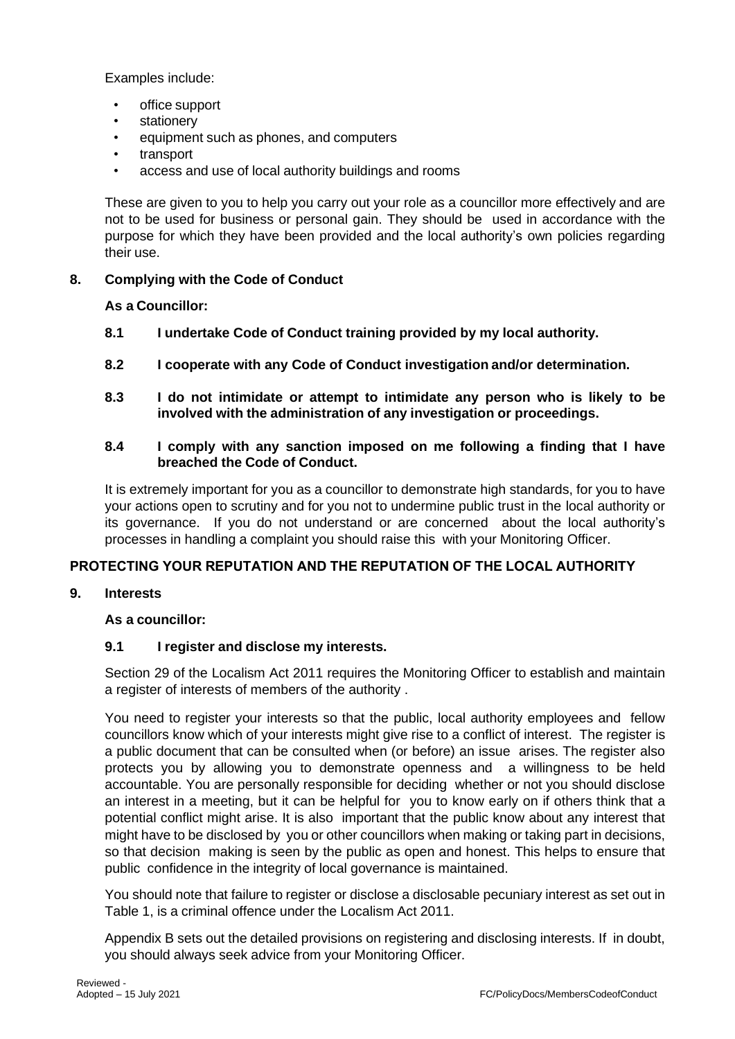Examples include:

- office support
- stationery
- equipment such as phones, and computers
- transport
- access and use of local authority buildings and rooms

These are given to you to help you carry out your role as a councillor more effectively and are not to be used for business or personal gain. They should be used in accordance with the purpose for which they have been provided and the local authority's own policies regarding their use.

# **8. Complying with the Code of Conduct**

**As a Councillor:**

- **8.1 I undertake Code of Conduct training provided by my local authority.**
- **8.2 I cooperate with any Code of Conduct investigation and/or determination.**
- **8.3 I do not intimidate or attempt to intimidate any person who is likely to be involved with the administration of any investigation or proceedings.**

# **8.4 I comply with any sanction imposed on me following a finding that I have breached the Code of Conduct.**

It is extremely important for you as a councillor to demonstrate high standards, for you to have your actions open to scrutiny and for you not to undermine public trust in the local authority or its governance. If you do not understand or are concerned about the local authority's processes in handling a complaint you should raise this with your Monitoring Officer.

# **PROTECTING YOUR REPUTATION AND THE REPUTATION OF THE LOCAL AUTHORITY**

# **9. Interests**

# **As a councillor:**

# **9.1 I register and disclose my interests.**

Section 29 of the Localism Act 2011 requires the Monitoring Officer to establish and maintain a register of interests of members of the authority .

You need to register your interests so that the public, local authority employees and fellow councillors know which of your interests might give rise to a conflict of interest. The register is a public document that can be consulted when (or before) an issue arises. The register also protects you by allowing you to demonstrate openness and a willingness to be held accountable. You are personally responsible for deciding whether or not you should disclose an interest in a meeting, but it can be helpful for you to know early on if others think that a potential conflict might arise. It is also important that the public know about any interest that might have to be disclosed by you or other councillors when making or taking part in decisions, so that decision making is seen by the public as open and honest. This helps to ensure that public confidence in the integrity of local governance is maintained.

You should note that failure to register or disclose a disclosable pecuniary interest as set out in Table 1, is a criminal offence under the Localism Act 2011.

Appendix B sets out the detailed provisions on registering and disclosing interests. If in doubt, you should always seek advice from your Monitoring Officer.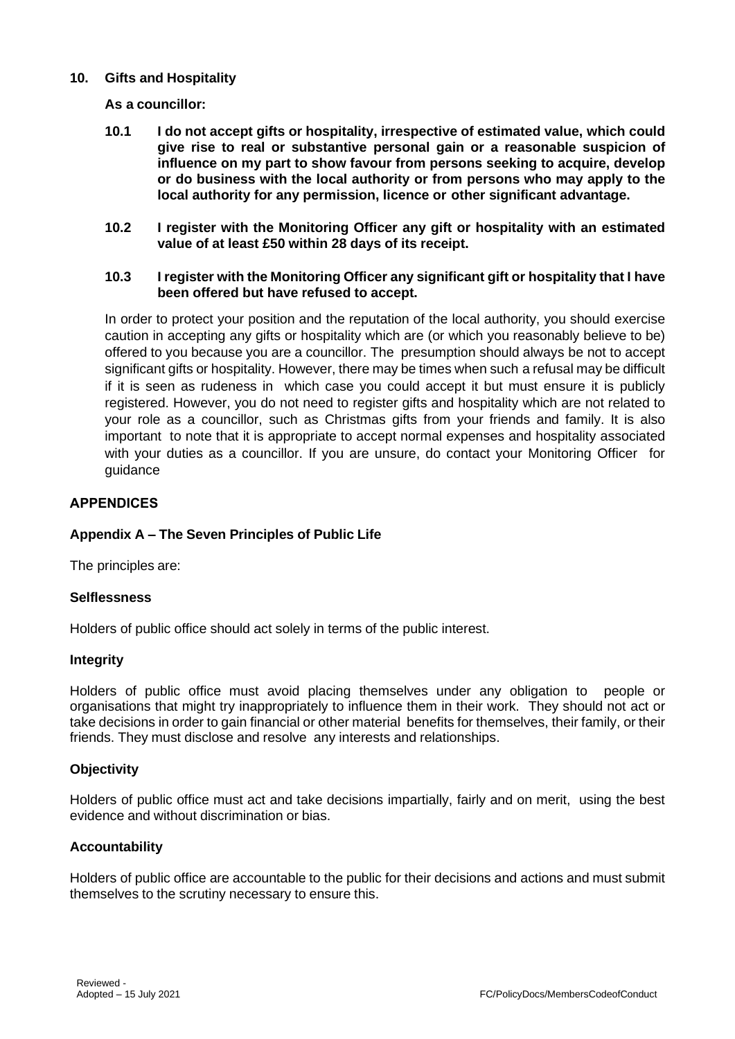# **10. Gifts and Hospitality**

### **As a councillor:**

- **10.1 I do not accept gifts or hospitality, irrespective of estimated value, which could give rise to real or substantive personal gain or a reasonable suspicion of influence on my part to show favour from persons seeking to acquire, develop or do business with the local authority or from persons who may apply to the local authority for any permission, licence or other significant advantage.**
- **10.2 I register with the Monitoring Officer any gift or hospitality with an estimated value of at least £50 within 28 days of its receipt.**

# **10.3 I register with the Monitoring Officer any significant gift or hospitality that I have been offered but have refused to accept.**

In order to protect your position and the reputation of the local authority, you should exercise caution in accepting any gifts or hospitality which are (or which you reasonably believe to be) offered to you because you are a councillor. The presumption should always be not to accept significant gifts or hospitality. However, there may be times when such a refusal may be difficult if it is seen as rudeness in which case you could accept it but must ensure it is publicly registered. However, you do not need to register gifts and hospitality which are not related to your role as a councillor, such as Christmas gifts from your friends and family. It is also important to note that it is appropriate to accept normal expenses and hospitality associated with your duties as a councillor. If you are unsure, do contact your Monitoring Officer for guidance

### **APPENDICES**

# **Appendix A – The Seven Principles of Public Life**

The principles are:

#### **Selflessness**

Holders of public office should act solely in terms of the public interest.

#### **Integrity**

Holders of public office must avoid placing themselves under any obligation to people or organisations that might try inappropriately to influence them in their work. They should not act or take decisions in order to gain financial or other material benefits for themselves, their family, or their friends. They must disclose and resolve any interests and relationships.

#### **Objectivity**

Holders of public office must act and take decisions impartially, fairly and on merit, using the best evidence and without discrimination or bias.

#### **Accountability**

Holders of public office are accountable to the public for their decisions and actions and must submit themselves to the scrutiny necessary to ensure this.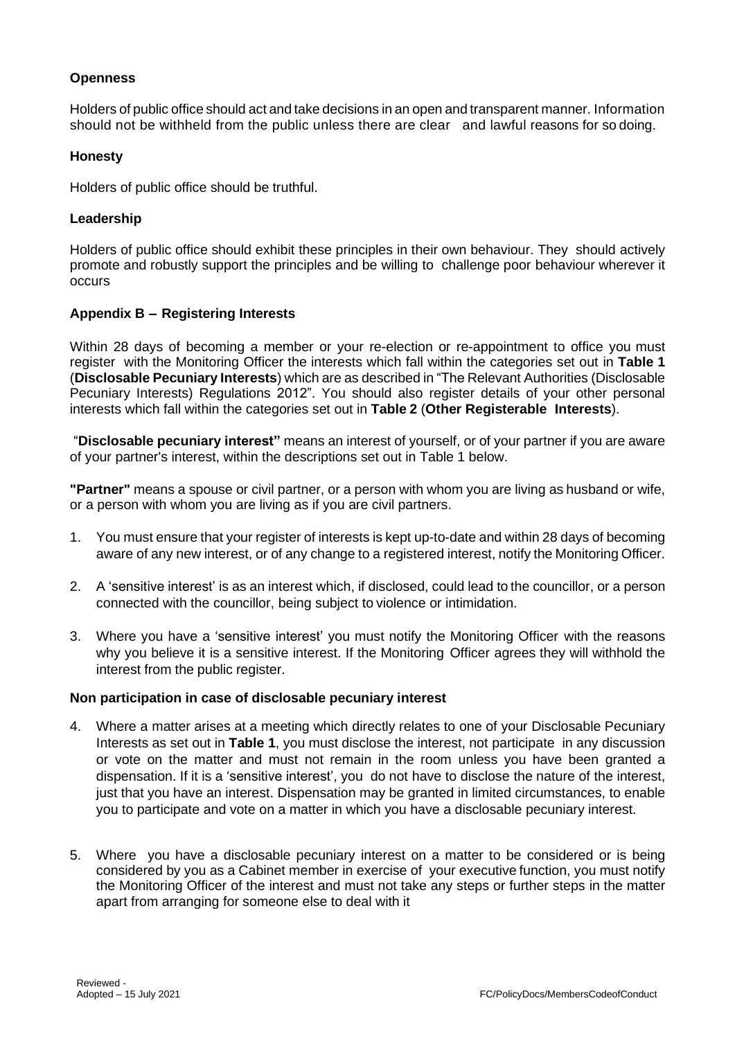# **Openness**

Holders of public office should act and take decisions in an open and transparent manner. Information should not be withheld from the public unless there are clear and lawful reasons for so doing.

### **Honesty**

Holders of public office should be truthful.

### **Leadership**

Holders of public office should exhibit these principles in their own behaviour. They should actively promote and robustly support the principles and be willing to challenge poor behaviour wherever it occurs

# **Appendix B – Registering Interests**

Within 28 days of becoming a member or your re-election or re-appointment to office you must register with the Monitoring Officer the interests which fall within the categories set out in **Table 1** (**Disclosable Pecuniary Interests**) which are as described in "The Relevant Authorities (Disclosable Pecuniary Interests) Regulations 2012". You should also register details of your other personal interests which fall within the categories set out in **Table 2** (**Other Registerable Interests**).

"**Disclosable pecuniary interest"** means an interest of yourself, or of your partner if you are aware of your partner's interest, within the descriptions set out in Table 1 below.

**"Partner"** means a spouse or civil partner, or a person with whom you are living as husband or wife, or a person with whom you are living as if you are civil partners.

- 1. You must ensure that your register of interests is kept up-to-date and within 28 days of becoming aware of any new interest, or of any change to a registered interest, notify the Monitoring Officer.
- 2. A 'sensitive interest' is as an interest which, if disclosed, could lead to the councillor, or a person connected with the councillor, being subject to violence or intimidation.
- 3. Where you have a 'sensitive interest' you must notify the Monitoring Officer with the reasons why you believe it is a sensitive interest. If the Monitoring Officer agrees they will withhold the interest from the public register.

#### **Non participation in case of disclosable pecuniary interest**

- 4. Where a matter arises at a meeting which directly relates to one of your Disclosable Pecuniary Interests as set out in **Table 1**, you must disclose the interest, not participate in any discussion or vote on the matter and must not remain in the room unless you have been granted a dispensation. If it is a 'sensitive interest', you do not have to disclose the nature of the interest, just that you have an interest. Dispensation may be granted in limited circumstances, to enable you to participate and vote on a matter in which you have a disclosable pecuniary interest.
- 5. Where you have a disclosable pecuniary interest on a matter to be considered or is being considered by you as a Cabinet member in exercise of your executive function, you must notify the Monitoring Officer of the interest and must not take any steps or further steps in the matter apart from arranging for someone else to deal with it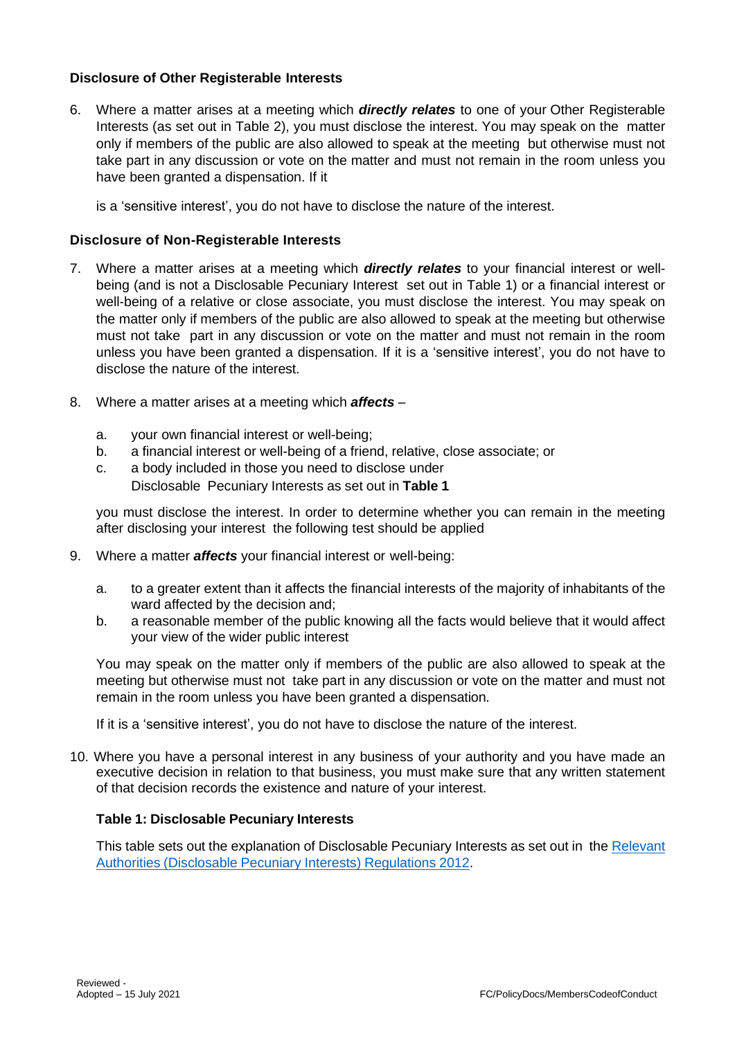# **Disclosure of Other Registerable Interests**

6. Where a matter arises at a meeting which *directly relates* to one of your Other Registerable Interests (as set out in Table 2), you must disclose the interest. You may speak on the matter only if members of the public are also allowed to speak at the meeting but otherwise must not take part in any discussion or vote on the matter and must not remain in the room unless you have been granted a dispensation. If it

is a 'sensitive interest', you do not have to disclose the nature of the interest.

# **Disclosure of Non-Registerable Interests**

- 7. Where a matter arises at a meeting which *directly relates* to your financial interest or wellbeing (and is not a Disclosable Pecuniary Interest set out in Table 1) or a financial interest or well-being of a relative or close associate, you must disclose the interest. You may speak on the matter only if members of the public are also allowed to speak at the meeting but otherwise must not take part in any discussion or vote on the matter and must not remain in the room unless you have been granted a dispensation. If it is a 'sensitive interest', you do not have to disclose the nature of the interest.
- 8. Where a matter arises at a meeting which *affects*
	- a. your own financial interest or well-being;
	- b. a financial interest or well-being of a friend, relative, close associate; or
	- c. a body included in those you need to disclose under Disclosable Pecuniary Interests as set out in **Table 1**

you must disclose the interest. In order to determine whether you can remain in the meeting after disclosing your interest the following test should be applied

- 9. Where a matter *affects* your financial interest or well-being:
	- a. to a greater extent than it affects the financial interests of the majority of inhabitants of the ward affected by the decision and;
	- b. a reasonable member of the public knowing all the facts would believe that it would affect your view of the wider public interest

You may speak on the matter only if members of the public are also allowed to speak at the meeting but otherwise must not take part in any discussion or vote on the matter and must not remain in the room unless you have been granted a dispensation.

If it is a 'sensitive interest', you do not have to disclose the nature of the interest.

10. Where you have a personal interest in any business of your authority and you have made an executive decision in relation to that business, you must make sure that any written statement of that decision records the existence and nature of your interest.

# **Table 1: Disclosable Pecuniary Interests**

This table sets out the explanation of Disclosable Pecuniary Interests as set out in the [Relevant](https://www.legislation.gov.uk/uksi/2012/1464/made) [Authorities](https://www.legislation.gov.uk/uksi/2012/1464/made) [\(Disclosable](https://www.legislation.gov.uk/uksi/2012/1464/made) [Pecuniary](https://www.legislation.gov.uk/uksi/2012/1464/made) [Interests\)](https://www.legislation.gov.uk/uksi/2012/1464/made) [Regulations](https://www.legislation.gov.uk/uksi/2012/1464/made) [2012.](https://www.legislation.gov.uk/uksi/2012/1464/made)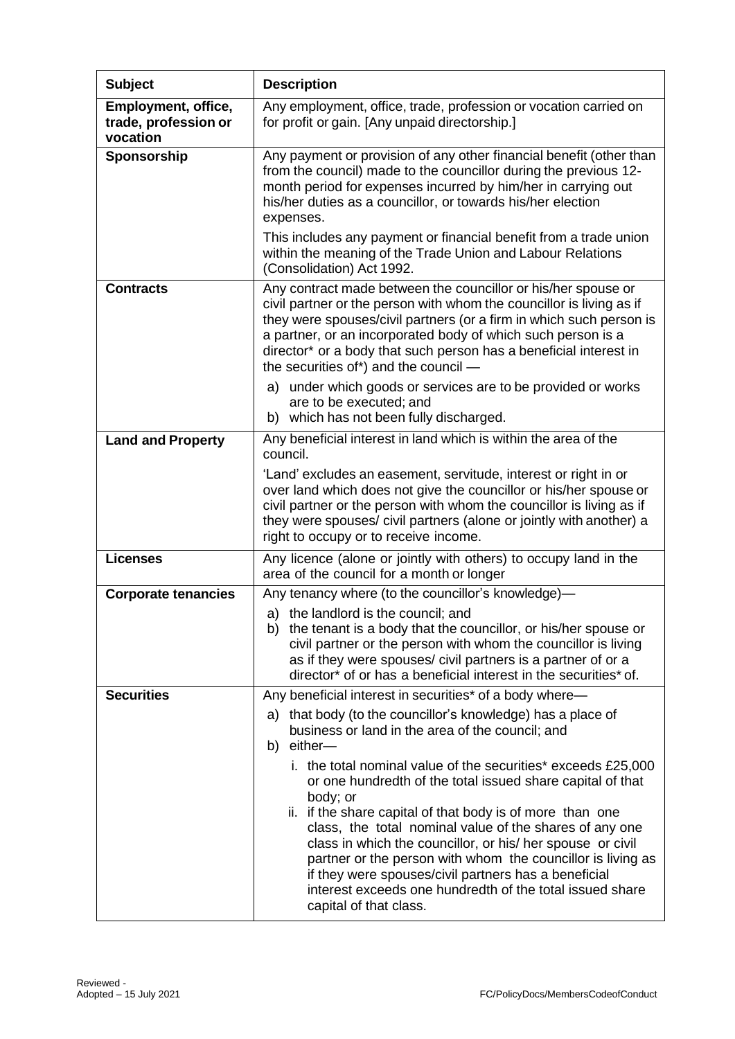| <b>Subject</b>                                          | <b>Description</b>                                                                                                                                                                                                                                                                                                                                                                                                                                                                                                                                       |
|---------------------------------------------------------|----------------------------------------------------------------------------------------------------------------------------------------------------------------------------------------------------------------------------------------------------------------------------------------------------------------------------------------------------------------------------------------------------------------------------------------------------------------------------------------------------------------------------------------------------------|
| Employment, office,<br>trade, profession or<br>vocation | Any employment, office, trade, profession or vocation carried on<br>for profit or gain. [Any unpaid directorship.]                                                                                                                                                                                                                                                                                                                                                                                                                                       |
| Sponsorship                                             | Any payment or provision of any other financial benefit (other than<br>from the council) made to the councillor during the previous 12-<br>month period for expenses incurred by him/her in carrying out<br>his/her duties as a councillor, or towards his/her election<br>expenses.                                                                                                                                                                                                                                                                     |
|                                                         | This includes any payment or financial benefit from a trade union<br>within the meaning of the Trade Union and Labour Relations<br>(Consolidation) Act 1992.                                                                                                                                                                                                                                                                                                                                                                                             |
| <b>Contracts</b>                                        | Any contract made between the councillor or his/her spouse or<br>civil partner or the person with whom the councillor is living as if<br>they were spouses/civil partners (or a firm in which such person is<br>a partner, or an incorporated body of which such person is a<br>director* or a body that such person has a beneficial interest in<br>the securities of*) and the council -                                                                                                                                                               |
|                                                         | a) under which goods or services are to be provided or works<br>are to be executed; and<br>b) which has not been fully discharged.                                                                                                                                                                                                                                                                                                                                                                                                                       |
| <b>Land and Property</b>                                | Any beneficial interest in land which is within the area of the<br>council.                                                                                                                                                                                                                                                                                                                                                                                                                                                                              |
|                                                         | 'Land' excludes an easement, servitude, interest or right in or<br>over land which does not give the councillor or his/her spouse or<br>civil partner or the person with whom the councillor is living as if<br>they were spouses/ civil partners (alone or jointly with another) a<br>right to occupy or to receive income.                                                                                                                                                                                                                             |
| <b>Licenses</b>                                         | Any licence (alone or jointly with others) to occupy land in the<br>area of the council for a month or longer                                                                                                                                                                                                                                                                                                                                                                                                                                            |
| <b>Corporate tenancies</b>                              | Any tenancy where (to the councillor's knowledge)-                                                                                                                                                                                                                                                                                                                                                                                                                                                                                                       |
|                                                         | a) the landlord is the council; and<br>b) the tenant is a body that the councillor, or his/her spouse or<br>civil partner or the person with whom the councillor is living<br>as if they were spouses/ civil partners is a partner of or a<br>director* of or has a beneficial interest in the securities* of.                                                                                                                                                                                                                                           |
| <b>Securities</b>                                       | Any beneficial interest in securities* of a body where—<br>that body (to the councillor's knowledge) has a place of<br>a)<br>business or land in the area of the council; and                                                                                                                                                                                                                                                                                                                                                                            |
|                                                         | b) either-<br>i. the total nominal value of the securities* exceeds £25,000<br>or one hundredth of the total issued share capital of that<br>body; or<br>ii. if the share capital of that body is of more than one<br>class, the total nominal value of the shares of any one<br>class in which the councillor, or his/ her spouse or civil<br>partner or the person with whom the councillor is living as<br>if they were spouses/civil partners has a beneficial<br>interest exceeds one hundredth of the total issued share<br>capital of that class. |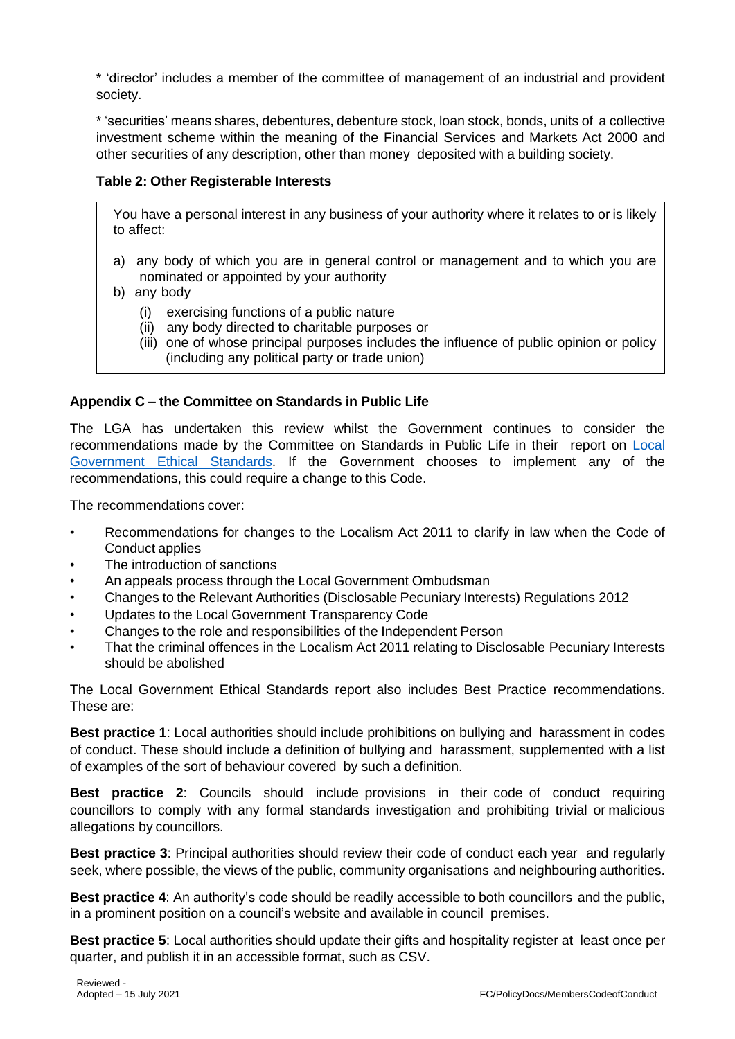\* 'director' includes a member of the committee of management of an industrial and provident society.

\* 'securities' means shares, debentures, debenture stock, loan stock, bonds, units of a collective investment scheme within the meaning of the Financial Services and Markets Act 2000 and other securities of any description, other than money deposited with a building society.

# **Table 2: Other Registerable Interests**

You have a personal interest in any business of your authority where it relates to or is likely to affect:

- a) any body of which you are in general control or management and to which you are nominated or appointed by your authority
- b) any body
	- (i) exercising functions of a public nature
	- (ii) any body directed to charitable purposes or
	- (iii) one of whose principal purposes includes the influence of public opinion or policy (including any political party or trade union)

# **Appendix C – the Committee on Standards in Public Life**

The LGA has undertaken this review whilst the Government continues to consider the recommendations made by the Committee on Standards in Public Life in their report on [Local](https://www.gov.uk/government/publications/local-government-ethical-standards-report) [Government](https://www.gov.uk/government/publications/local-government-ethical-standards-report) [Ethical](https://www.gov.uk/government/publications/local-government-ethical-standards-report) [Standards.](https://www.gov.uk/government/publications/local-government-ethical-standards-report) If the Government chooses to implement any of the recommendations, this could require a change to this Code.

The recommendations cover:

- Recommendations for changes to the Localism Act 2011 to clarify in law when the Code of Conduct applies
- The introduction of sanctions
- An appeals process through the Local Government Ombudsman
- Changes to the Relevant Authorities (Disclosable Pecuniary Interests) Regulations 2012
- Updates to the Local Government Transparency Code
- Changes to the role and responsibilities of the Independent Person
- That the criminal offences in the Localism Act 2011 relating to Disclosable Pecuniary Interests should be abolished

The Local Government Ethical Standards report also includes Best Practice recommendations. These are:

**Best practice 1**: Local authorities should include prohibitions on bullying and harassment in codes of conduct. These should include a definition of bullying and harassment, supplemented with a list of examples of the sort of behaviour covered by such a definition.

**Best practice 2**: Councils should include provisions in their code of conduct requiring councillors to comply with any formal standards investigation and prohibiting trivial or malicious allegations by councillors.

**Best practice 3**: Principal authorities should review their code of conduct each year and regularly seek, where possible, the views of the public, community organisations and neighbouring authorities.

**Best practice 4**: An authority's code should be readily accessible to both councillors and the public, in a prominent position on a council's website and available in council premises.

**Best practice 5**: Local authorities should update their gifts and hospitality register at least once per quarter, and publish it in an accessible format, such as CSV.